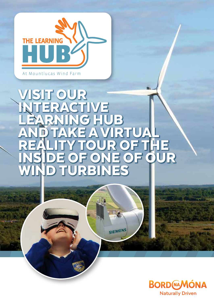

# OUR<sup></sup> INTERACTIVE HUB<br>WIRT ANDTAKE A VIRTUAL REALITY TOUR OF THE INSIDE OF ONE OF OUR IRBINES

SIEMENS

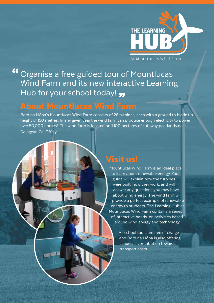

Organise a free guided tour of Mountlucas Wind Farm and its new interactive Learning Hub for your school today! 99

#### About Mountlucas Wind Farm

Bord na Móna's Mountlucas Wind Farm consists of 28 turbines, each with a ground to blade tip height of 150 metres. In any given year the wind farm can produce enough electricity to power over 50,000 homes! The wind farm is located on 1,100 hectares of cutaway peatlands near Daingean Co. Offaly.

Visit us!

Mountlucas Wind Farm is an ideal place to learn about renewable energy. Your guide will explain how the turbines were built, how they work, and will answer any questions you may have about wind energy. The wind farm will provide a perfect example of renewable energy to students. The Learning Hub at Mountlucas Wind Farm contains a series of interactive hands-on activities based around wind energy and technology.

> All school tours are free of charge and Bord na Móna is also offering schools a contribution towards transport costs.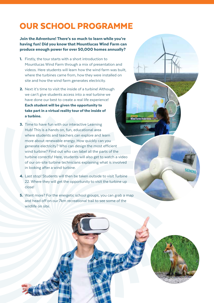### OUR SCHOOL PROGRAMME

Join the Adventure! There's so much to learn while you're having fun! Did you know that Mountlucas Wind Farm can produce enough power for over 50,000 homes annually?

- 1. Firstly, the tour starts with a short introduction to Mountlucas Wind Farm through a mix of presentation and videos. Here students will learn how the wind farm was built, where the turbines came from, how they were installed on site and how the wind farm generates electricity.
- 2. Next it's time to visit the inside of a turbine! Although we can't give students access into a real turbine we have done our best to create a real life experience! Each student will be given the opportunity to take part in a virtual reality tour of the inside of a turbine.
- 3. Time to have fun with our interactive Learning Hub! This is a hands on, fun, educational area where students and teachers can explore and learn more about renewable energy. How quickly can you generate electricity? Who can design the most efficient wind turbine? Find out who can label all the parts of the turbine correctly! Here, students will also get to watch a video of our on-site turbine technicians explaining what is involved in looking after a wind turbine.
- 4. Last stop! Students will then be taken outside to visit Turbine 22. Where they will get the opportunity to visit the turbine up close!
- 5. Want more? For the energetic school groups, you can grab a map and head off on our 7km recreational trail to see some of the wildlife on site.



SIEMENC

**Wind farms make** 

1,000